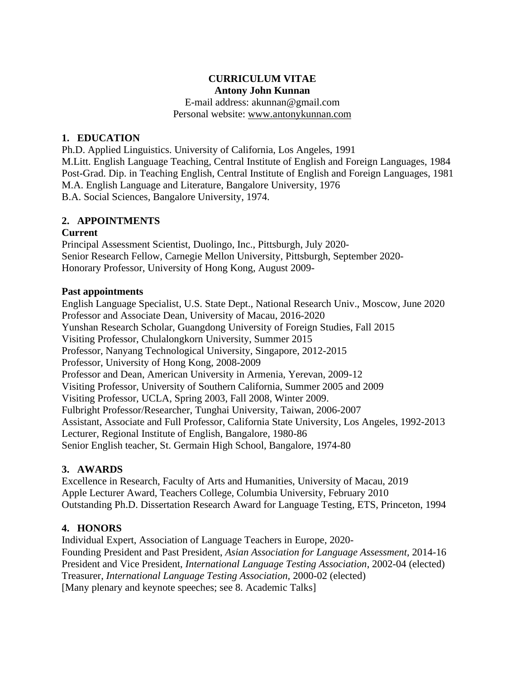# **CURRICULUM VITAE Antony John Kunnan**

E-mail address: [akunnan@gmail.com](mailto:akunnan@gmail.com) Personal website: [www.antonykunnan.com](http://www.antonykunnan.com/)

### **1. EDUCATION**

Ph.D. Applied Linguistics. University of California, Los Angeles, 1991 M.Litt. English Language Teaching, Central Institute of English and Foreign Languages, 1984 Post-Grad. Dip. in Teaching English, Central Institute of English and Foreign Languages, 1981 M.A. English Language and Literature, Bangalore University, 1976 B.A. Social Sciences, Bangalore University, 1974.

### **2. APPOINTMENTS**

### **Current**

Principal Assessment Scientist, Duolingo, Inc., Pittsburgh, July 2020- Senior Research Fellow, Carnegie Mellon University, Pittsburgh, September 2020- Honorary Professor, University of Hong Kong, August 2009-

### **Past appointments**

English Language Specialist, U.S. State Dept., National Research Univ., Moscow, June 2020 Professor and Associate Dean, University of Macau, 2016-2020 Yunshan Research Scholar, Guangdong University of Foreign Studies, Fall 2015 Visiting Professor, Chulalongkorn University, Summer 2015 Professor, Nanyang Technological University, Singapore, 2012-2015 Professor, University of Hong Kong, 2008-2009 Professor and Dean, American University in Armenia, Yerevan, 2009-12 Visiting Professor, University of Southern California, Summer 2005 and 2009 Visiting Professor, UCLA, Spring 2003, Fall 2008, Winter 2009. Fulbright Professor/Researcher, Tunghai University, Taiwan, 2006-2007 Assistant, Associate and Full Professor, California State University, Los Angeles, 1992-2013 Lecturer, Regional Institute of English, Bangalore, 1980-86 Senior English teacher, St. Germain High School, Bangalore, 1974-80

# **3. AWARDS**

Excellence in Research, Faculty of Arts and Humanities, University of Macau, 2019 Apple Lecturer Award, Teachers College, Columbia University, February 2010 Outstanding Ph.D. Dissertation Research Award for Language Testing, ETS, Princeton, 1994

# **4. HONORS**

Individual Expert, Association of Language Teachers in Europe, 2020- Founding President and Past President, *Asian Association for Language Assessment,* 2014-16 President and Vice President, *International Language Testing Association*, 2002-04 (elected) Treasurer, *International Language Testing Association,* 2000-02 (elected) [Many plenary and keynote speeches; see 8. Academic Talks]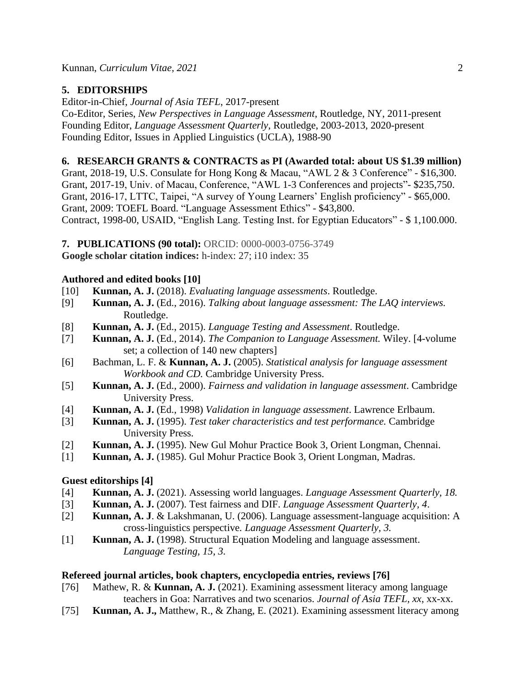# **5. EDITORSHIPS**

Editor-in-Chief, *Journal of Asia TEFL*, 2017-present Co-Editor, Series, *New Perspectives in Language Assessment*, Routledge, NY, 2011-present Founding Editor, *Language Assessment Quarterly*, Routledge, 2003-2013, 2020-present

Founding Editor, Issues in Applied Linguistics (UCLA), 1988-90

### **6. RESEARCH GRANTS & CONTRACTS as PI (Awarded total: about US \$1.39 million)**

Grant, 2018-19, U.S. Consulate for Hong Kong & Macau, "AWL 2 & 3 Conference" - \$16,300. Grant, 2017-19, Univ. of Macau, Conference, "AWL 1-3 Conferences and projects"- \$235,750. Grant, 2016-17, LTTC, Taipei, "A survey of Young Learners' English proficiency" - \$65,000. Grant, 2009: TOEFL Board. "Language Assessment Ethics" - \$43,800. Contract, 1998-00, USAID, "English Lang. Testing Inst. for Egyptian Educators" - \$ 1,100.000.

**7. PUBLICATIONS (90 total):** ORCID: 0000-0003-0756-3749

**Google scholar citation indices:** h-index: 27; i10 index: 35

# **Authored and edited books [10]**

- [10] **Kunnan, A. J.** (2018). *Evaluating language assessments*. Routledge.
- [9] **Kunnan, A. J.** (Ed., 2016). *Talking about language assessment: The LAQ interviews.* Routledge.
- [8] **Kunnan, A. J.** (Ed., 2015). *Language Testing and Assessment*. Routledge.
- [7] **Kunnan, A. J.** (Ed., 2014). *The Companion to Language Assessment.* Wiley. [4-volume set; a collection of 140 new chapters]
- [6] Bachman, L. F. & **Kunnan, A. J.** (2005). *Statistical analysis for language assessment Workbook and CD.* Cambridge University Press.
- [5] **Kunnan, A. J.** (Ed., 2000). *Fairness and validation in language assessment*. Cambridge University Press.
- [4] **Kunnan, A. J.** (Ed., 1998) *Validation in language assessment*. Lawrence Erlbaum.
- [3] **Kunnan, A. J.** (1995). *Test taker characteristics and test performance.* Cambridge University Press.
- [2] **Kunnan, A. J.** (1995). New Gul Mohur Practice Book 3, Orient Longman, Chennai.
- [1] **Kunnan, A. J.** (1985). Gul Mohur Practice Book 3, Orient Longman, Madras.

# **Guest editorships [4]**

- [4] **Kunnan, A. J.** (2021). Assessing world languages. *Language Assessment Quarterly, 18.*
- [3] **Kunnan, A. J.** (2007). Test fairness and DIF. *Language Assessment Quarterly, 4*.
- [2] **Kunnan, A. J**. & Lakshmanan, U. (2006). Language assessment-language acquisition: A cross-linguistics perspective*. Language Assessment Quarterly, 3.*
- [1] **Kunnan, A. J.** (1998). Structural Equation Modeling and language assessment. *Language Testing, 15*, *3.*

# **Refereed journal articles, book chapters, encyclopedia entries, reviews [76]**

- [76] Mathew, R. & **Kunnan, A. J.** (2021). Examining assessment literacy among language teachers in Goa: Narratives and two scenarios. *Journal of Asia TEFL, xx*, xx-xx.
- [75] **Kunnan, A. J.,** Matthew, R., & Zhang, E. (2021). Examining assessment literacy among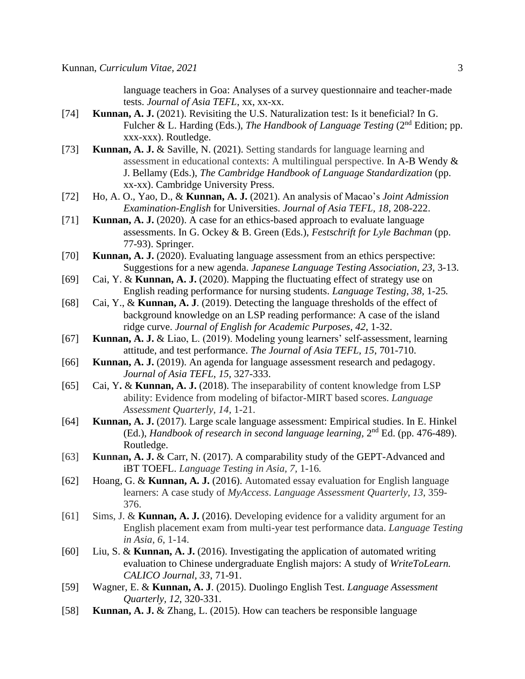language teachers in Goa: Analyses of a survey questionnaire and teacher-made tests. *Journal of Asia TEFL*, xx, xx-xx.

- [74] **Kunnan, A. J.** (2021). Revisiting the U.S. Naturalization test: Is it beneficial? In G. Fulcher & L. Harding (Eds.), *The Handbook of Language Testing* (2<sup>nd</sup> Edition; pp. xxx-xxx). Routledge.
- [73] **Kunnan, A. J.** & Saville, N. (2021). Setting standards for language learning and assessment in educational contexts: A multilingual perspective. In A-B Wendy & J. Bellamy (Eds.), *The Cambridge Handbook of Language Standardization* (pp. xx-xx). Cambridge University Press.
- [72] Ho, A. O., Yao, D., & **Kunnan, A. J.** (2021). An analysis of Macao's *Joint Admission Examination-English* for Universities. *Journal of Asia TEFL, 18*, 208-222.
- [71] **Kunnan, A. J.** (2020). A case for an ethics-based approach to evaluate language assessments. In G. Ockey & B. Green (Eds.), *Festschrift for Lyle Bachman* (pp. 77-93). Springer.
- [70] **Kunnan, A. J.** (2020). Evaluating language assessment from an ethics perspective: Suggestions for a new agenda. *Japanese Language Testing Association*, *23*, 3-13.
- [69] Cai, Y. & **Kunnan, A. J.** (2020). Mapping the fluctuating effect of strategy use on English reading performance for nursing students. *Language Testing, 38,* 1-25*.*
- [68] Cai, Y., & **Kunnan, A. J**. (2019). Detecting the language thresholds of the effect of background knowledge on an LSP reading performance: A case of the island ridge curve. *Journal of English for Academic Purposes, 42*, 1-32.
- [67] **Kunnan, A. J.** & Liao, L. (2019). Modeling young learners' self-assessment, learning attitude, and test performance. *The Journal of Asia TEFL, 15*, 701-710.
- [66] **Kunnan, A. J.** (2019). An agenda for language assessment research and pedagogy. *Journal of Asia TEFL, 15,* 327-333.
- [65] Cai, Y**.** & **Kunnan, A. J.** (2018). The inseparability of content knowledge from LSP ability: Evidence from modeling of bifactor-MIRT based scores. *Language Assessment Quarterly, 14,* 1-21.
- [64] **Kunnan, A. J.** (2017). Large scale language assessment: Empirical studies. In E. Hinkel (Ed.), *Handbook of research in second language learning*, 2<sup>nd</sup> Ed. (pp. 476-489). Routledge.
- [63] **Kunnan, A. J.** & Carr, N. (2017). A comparability study of the GEPT-Advanced and iBT TOEFL. *Language Testing in Asia, 7,* 1-16*.*
- [62] Hoang, G. & **Kunnan, A. J.** (2016). Automated essay evaluation for English language learners: A case study of *MyAccess*. *Language Assessment Quarterly, 13*, 359- 376.
- [61] Sims, J. & **Kunnan, A. J.** (2016). Developing evidence for a validity argument for an English placement exam from multi-year test performance data. *Language Testing in Asia*, *6*, 1-14.
- [60] Liu, S. & **Kunnan, A. J.** (2016). Investigating the application of automated writing evaluation to Chinese undergraduate English majors: A study of *WriteToLearn. CALICO Journal, 33*, 71-91.
- [59] Wagner, E. & **Kunnan, A. J**. (2015). Duolingo English Test. *Language Assessment Quarterly, 12*, 320-331.
- [58] **Kunnan, A. J.** & Zhang, L. (2015). How can teachers be responsible language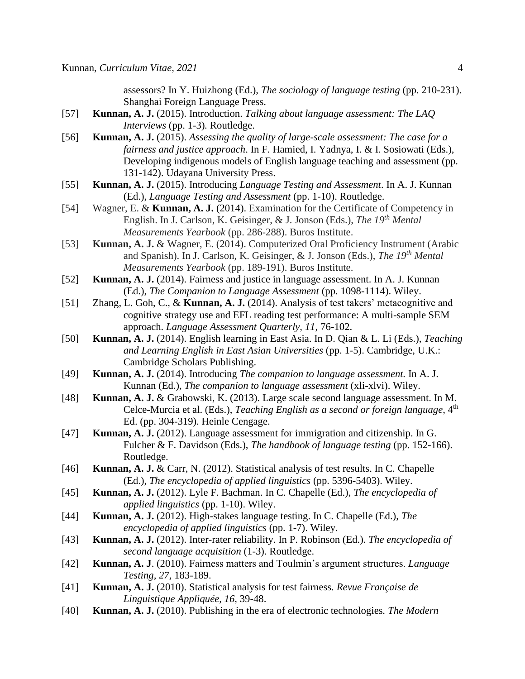assessors? In Y. Huizhong (Ed.), *The sociology of language testing* (pp. 210-231). Shanghai Foreign Language Press.

- [57] **Kunnan, A. J.** (2015). Introduction. *Talking about language assessment: The LAQ Interviews* (pp. 1-3)*.* Routledge.
- [56] **Kunnan, A. J.** (2015). *Assessing the quality of large-scale assessment: The case for a fairness and justice approach*. In F. Hamied, I. Yadnya, I. & I. Sosiowati (Eds.), Developing indigenous models of English language teaching and assessment (pp. 131-142). Udayana University Press.
- [55] **Kunnan, A. J.** (2015). Introducing *Language Testing and Assessment*. In A. J. Kunnan (Ed.), *Language Testing and Assessment* (pp. 1-10). Routledge.
- [54] Wagner, E. & **Kunnan, A. J.** (2014). Examination for the Certificate of Competency in English. In J. Carlson, K. Geisinger, & J. Jonson (Eds.), *The 19th Mental Measurements Yearbook* (pp. 286-288). Buros Institute.
- [53] **Kunnan, A. J.** & Wagner, E. (2014). Computerized Oral Proficiency Instrument (Arabic and Spanish). In J. Carlson, K. Geisinger, & J. Jonson (Eds.), *The 19th Mental Measurements Yearbook* (pp. 189-191). Buros Institute.
- [52] **Kunnan, A. J.** (2014). Fairness and justice in language assessment. In A. J. Kunnan (Ed.), *The Companion to Language Assessment* (pp. 1098-1114). Wiley.
- [51] Zhang, L. Goh, C., & **Kunnan, A. J.** (2014). Analysis of test takers' metacognitive and cognitive strategy use and EFL reading test performance: A multi-sample SEM approach. *Language Assessment Quarterly, 11*, 76-102.
- [50] **Kunnan, A. J.** (2014). English learning in East Asia. In D. Qian & L. Li (Eds.), *Teaching and Learning English in East Asian Universities* (pp. 1-5). Cambridge, U.K.: Cambridge Scholars Publishing.
- [49] **Kunnan, A. J.** (2014). Introducing *The companion to language assessment.* In A. J. Kunnan (Ed.), *The companion to language assessment* (xli-xlvi). Wiley.
- [48] **Kunnan, A. J.** & Grabowski, K. (2013). Large scale second language assessment. In M. Celce-Murcia et al. (Eds.), *Teaching English as a second or foreign language*, 4<sup>th</sup> Ed. (pp. 304-319). Heinle Cengage.
- [47] **Kunnan, A. J.** (2012). Language assessment for immigration and citizenship. In G. Fulcher & F. Davidson (Eds.), *The handbook of language testing* (pp. 152-166). Routledge.
- [46] **Kunnan, A. J.** & Carr, N. (2012). Statistical analysis of test results. In C. Chapelle (Ed.), *The encyclopedia of applied linguistics* (pp. 5396-5403). Wiley.
- [45] **Kunnan, A. J.** (2012). Lyle F. Bachman. In C. Chapelle (Ed.), *The encyclopedia of applied linguistics* (pp. 1-10). Wiley.
- [44] **Kunnan, A. J.** (2012). High-stakes language testing. In C. Chapelle (Ed.), *The encyclopedia of applied linguistics* (pp. 1-7). Wiley.
- [43] **Kunnan, A. J.** (2012). Inter-rater reliability. In P. Robinson (Ed.). *The encyclopedia of second language acquisition* (1-3). Routledge.
- [42] **Kunnan, A. J**. (2010). Fairness matters and Toulmin's argument structures. *Language Testing, 27,* 183-189.
- [41] **Kunnan, A. J.** (2010). Statistical analysis for test fairness. *Revue Française de Linguistique Appliquée, 16,* 39-48.
- [40] **Kunnan, A. J.** (2010). Publishing in the era of electronic technologies*. The Modern*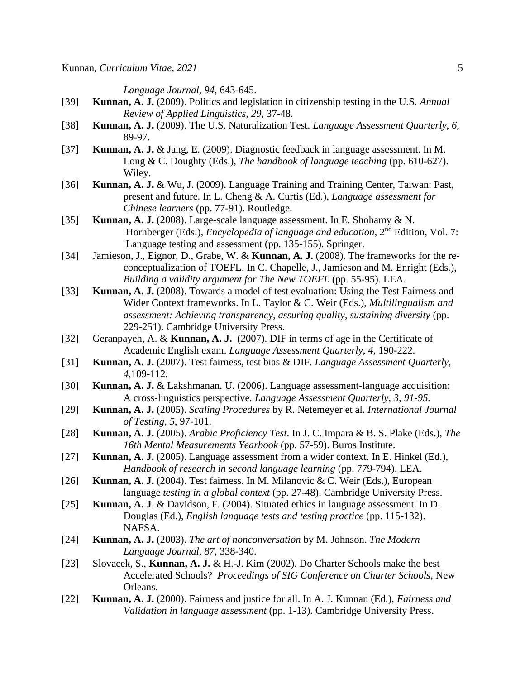*Language Journal, 94,* 643-645.

- [39] **Kunnan, A. J.** (2009). Politics and legislation in citizenship testing in the U.S. *Annual Review of Applied Linguistics, 29,* 37-48.
- [38] **Kunnan, A. J.** (2009). The U.S. Naturalization Test. *Language Assessment Quarterly, 6,*  89-97.
- [37] **Kunnan, A. J.** & Jang, E. (2009). Diagnostic feedback in language assessment. In M. Long & C. Doughty (Eds.), *The handbook of language teaching* (pp. 610-627). Wiley.
- [36] **Kunnan, A. J.** & Wu, J. (2009). Language Training and Training Center, Taiwan: Past, present and future. In L. Cheng & A. Curtis (Ed.), *Language assessment for Chinese learners* (pp. 77-91). Routledge.
- [35] **Kunnan, A. J.** (2008). Large-scale language assessment. In E. Shohamy & N. Hornberger (Eds.), *Encyclopedia of language and education*, 2nd Edition, Vol. 7: Language testing and assessment (pp. 135-155). Springer.
- [34] Jamieson, J., Eignor, D., Grabe, W. & **Kunnan, A. J.** (2008). The frameworks for the reconceptualization of TOEFL. In C. Chapelle, J., Jamieson and M. Enright (Eds.), *Building a validity argument for The New TOEFL* (pp. 55-95). LEA.
- [33] **Kunnan, A. J.** (2008). Towards a model of test evaluation: Using the Test Fairness and Wider Context frameworks. In L. Taylor & C. Weir (Eds.), *Multilingualism and assessment: Achieving transparency, assuring quality, sustaining diversity* (pp. 229-251). Cambridge University Press.
- [32] Geranpayeh, A. & **Kunnan, A. J.** (2007). DIF in terms of age in the Certificate of Academic English exam. *Language Assessment Quarterly*, *4,* 190-222.
- [31] **Kunnan, A. J.** (2007). Test fairness, test bias & DIF. *Language Assessment Quarterly, 4*,109-112.
- [30] **Kunnan, A. J.** & Lakshmanan. U. (2006). Language assessment-language acquisition: A cross-linguistics perspective*. Language Assessment Quarterly, 3, 91-95.*
- [29] **Kunnan, A. J.** (2005). *Scaling Procedures* by R. Netemeyer et al. *International Journal of Testing, 5*, 97-101.
- [28] **Kunnan, A. J.** (2005). *Arabic Proficiency Test*. In J. C. Impara & B. S. Plake (Eds.), *The 16th Mental Measurements Yearbook* (pp. 57-59). Buros Institute.
- [27] **Kunnan, A. J.** (2005). Language assessment from a wider context. In E. Hinkel (Ed.), *Handbook of research in second language learning* (pp. 779-794). LEA.
- [26] **Kunnan, A. J.** (2004). Test fairness. In M. Milanovic & C. Weir (Eds.), European language *testing in a global context* (pp. 27-48). Cambridge University Press.
- [25] **Kunnan, A. J**. & Davidson, F. (2004). Situated ethics in language assessment. In D. Douglas (Ed.), *English language tests and testing practice* (pp. 115-132). NAFSA.
- [24] **Kunnan, A. J.** (2003). *The art of nonconversation* by M. Johnson. *The Modern Language Journal, 87,* 338-340.
- [23] Slovacek, S., **Kunnan, A. J.** & H.-J. Kim (2002). Do Charter Schools make the best Accelerated Schools? *Proceedings of SIG Conference on Charter Schools*, New Orleans.
- [22] **Kunnan, A. J.** (2000). Fairness and justice for all. In A. J. Kunnan (Ed.), *Fairness and Validation in language assessment* (pp. 1-13). Cambridge University Press.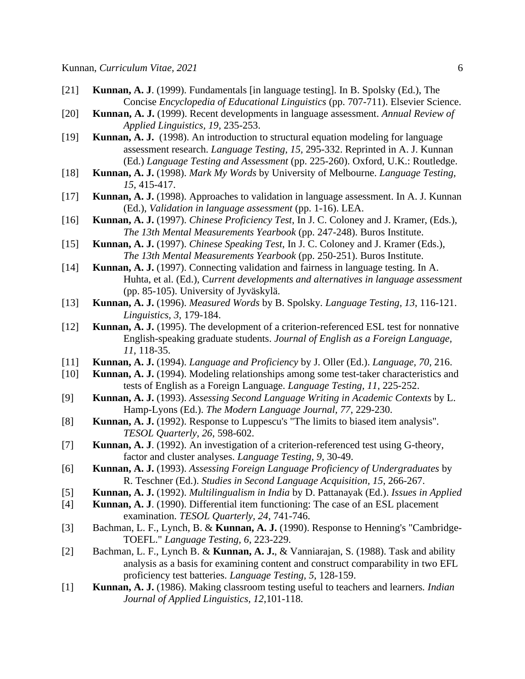- [21] **Kunnan, A. J**. (1999). Fundamentals [in language testing]. In B. Spolsky (Ed.), The Concise *Encyclopedia of Educational Linguistics* (pp. 707-711). Elsevier Science.
- [20] **Kunnan, A. J.** (1999). Recent developments in language assessment. *Annual Review of Applied Linguistics, 19,* 235-253.
- [19] **Kunnan, A. J.** (1998). An introduction to structural equation modeling for language assessment research. *Language Testing, 15,* 295-332. Reprinted in A. J. Kunnan (Ed.) *Language Testing and Assessment* (pp. 225-260). Oxford, U.K.: Routledge.
- [18] **Kunnan, A. J.** (1998). *Mark My Words* by University of Melbourne. *Language Testing, 15,* 415-417.
- [17] **Kunnan, A. J.** (1998). Approaches to validation in language assessment. In A. J. Kunnan (Ed.), *Validation in language assessment* (pp. 1-16). LEA.
- [16] **Kunnan, A. J.** (1997). *Chinese Proficiency Test*, In J. C. Coloney and J. Kramer, (Eds.), *The 13th Mental Measurements Yearbook* (pp. 247-248). Buros Institute.
- [15] **Kunnan, A. J.** (1997). *Chinese Speaking Test*, In J. C. Coloney and J. Kramer (Eds.), *The 13th Mental Measurements Yearbook* (pp. 250-251). Buros Institute.
- [14] **Kunnan, A. J.** (1997). Connecting validation and fairness in language testing. In A. Huhta, et al. (Ed.), C*urrent developments and alternatives in language assessment* (pp. 85-105). University of Jyväskylä.
- [13] **Kunnan, A. J.** (1996). *Measured Words* by B. Spolsky*. Language Testing, 13*, 116-121. *Linguistics, 3,* 179-184.
- [12] **Kunnan, A. J.** (1995). The development of a criterion-referenced ESL test for nonnative English-speaking graduate students. *Journal of English as a Foreign Language, 11*, 118-35.
- [11] **Kunnan, A. J.** (1994). *Language and Proficiency* by J. Oller (Ed.). *Language, 70,* 216.
- [10] **Kunnan, A. J.** (1994). Modeling relationships among some test-taker characteristics and tests of English as a Foreign Language. *Language Testing, 11*, 225-252.
- [9] **Kunnan, A. J.** (1993). *Assessing Second Language Writing in Academic Contexts* by L. Hamp-Lyons (Ed.). *The Modern Language Journal, 77*, 229-230.
- [8] **Kunnan, A. J.** (1992). Response to Luppescu's "The limits to biased item analysis"*. TESOL Quarterly, 26*, 598-602.
- [7] **Kunnan, A. J**. (1992). An investigation of a criterion-referenced test using G-theory, factor and cluster analyses. *Language Testing, 9*, 30-49.
- [6] **Kunnan, A. J.** (1993). *Assessing Foreign Language Proficiency of Undergraduates* by R. Teschner (Ed.). *Studies in Second Language Acquisition, 15*, 266-267.
- [5] **Kunnan, A. J.** (1992). *Multilingualism in India* by D. Pattanayak (Ed.). *Issues in Applied*
- [4] **Kunnan, A. J**. (1990). Differential item functioning: The case of an ESL placement examination. *TESOL Quarterly, 24*, 741-746.
- [3] Bachman, L. F., Lynch, B. & **Kunnan, A. J.** (1990). Response to Henning's "Cambridge-TOEFL." *Language Testing, 6*, 223-229.
- [2] Bachman, L. F., Lynch B. & **Kunnan, A. J.**, & Vanniarajan, S. (1988). Task and ability analysis as a basis for examining content and construct comparability in two EFL proficiency test batteries. *Language Testing, 5*, 128-159.
- [1] **Kunnan, A. J.** (1986). Making classroom testing useful to teachers and learners*. Indian Journal of Applied Linguistics, 12*,101-118.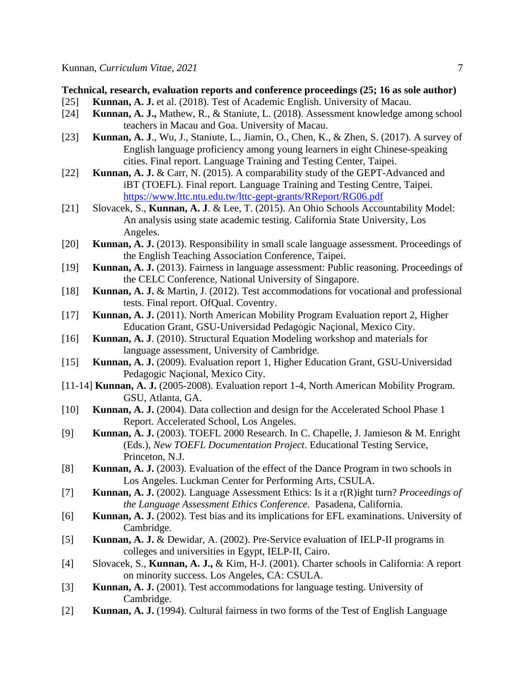#### **Technical, research, evaluation reports and conference proceedings (25; 16 as sole author)**

- [25] **Kunnan, A. J.** et al. (2018). Test of Academic English. University of Macau.
- [24] **Kunnan, A. J.,** Mathew, R., & Staniute, L. (2018). Assessment knowledge among school teachers in Macau and Goa. University of Macau.
- [23] **Kunnan, A. J**., Wu, J., Staniute, L., Jiamin, O., Chen, K., & Zhen, S. (2017). A survey of English language proficiency among young learners in eight Chinese-speaking cities. Final report. Language Training and Testing Center, Taipei.
- [22] **Kunnan, A. J.** & Carr, N. (2015). A comparability study of the GEPT-Advanced and iBT (TOEFL). Final report. Language Training and Testing Centre, Taipei. <https://www.lttc.ntu.edu.tw/lttc-gept-grants/RReport/RG06.pdf>
- [21] Slovacek, S., **Kunnan, A. J**. & Lee, T. (2015). An Ohio Schools Accountability Model: An analysis using state academic testing. California State University, Los Angeles.
- [20] **Kunnan, A. J.** (2013). Responsibility in small scale language assessment. Proceedings of the English Teaching Association Conference, Taipei.
- [19] **Kunnan, A. J.** (2013). Fairness in language assessment: Public reasoning. Proceedings of the CELC Conference, National University of Singapore.
- [18] **Kunnan, A. J.** & Martin, J. (2012). Test accommodations for vocational and professional tests. Final report. OfQual. Coventry.
- [17] **Kunnan, A. J.** (2011). North American Mobility Program Evaluation report 2, Higher Education Grant, GSU-Universidad Pedagogic Naçional, Mexico City.
- [16] **Kunnan, A. J**. (2010). Structural Equation Modeling workshop and materials for language assessment, University of Cambridge.
- [15] **Kunnan, A. J.** (2009). Evaluation report 1, Higher Education Grant, GSU-Universidad Pedagogic Naçional, Mexico City.
- [11-14] **Kunnan, A. J.** (2005-2008). Evaluation report 1-4, North American Mobility Program. GSU, Atlanta, GA.
- [10] **Kunnan, A. J.** (2004). Data collection and design for the Accelerated School Phase 1 Report. Accelerated School, Los Angeles.
- [9] **Kunnan, A. J.** (2003). TOEFL 2000 Research. In C. Chapelle, J. Jamieson & M. Enright (Eds.), *New TOEFL Documentation Project*. Educational Testing Service, Princeton, N.J.
- [8] **Kunnan, A. J.** (2003). Evaluation of the effect of the Dance Program in two schools in Los Angeles. Luckman Center for Performing Arts, CSULA.
- [7] **Kunnan, A. J.** (2002). Language Assessment Ethics: Is it a r(R)ight turn? *Proceedings of the Language Assessment Ethics Conference*. Pasadena, California.
- [6] **Kunnan, A. J.** (2002). Test bias and its implications for EFL examinations. University of Cambridge.
- [5] **Kunnan, A. J.** & Dewidar, A. (2002). Pre-Service evaluation of IELP-II programs in colleges and universities in Egypt, IELP-II, Cairo.
- [4] Slovacek, S., **Kunnan, A. J.,** & Kim, H-J. (2001). Charter schools in California: A report on minority success. Los Angeles, CA: CSULA.
- [3] **Kunnan, A. J.** (2001). Test accommodations for language testing. University of Cambridge.
- [2] **Kunnan, A. J.** (1994). Cultural fairness in two forms of the Test of English Language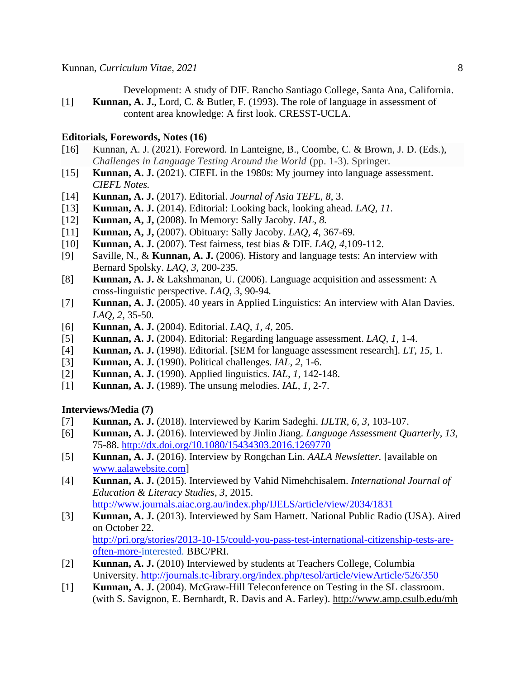Development: A study of DIF. Rancho Santiago College, Santa Ana, California. [1] **Kunnan, A. J.**, Lord, C. & Butler, F. (1993). The role of language in assessment of content area knowledge: A first look. CRESST-UCLA.

#### **Editorials, Forewords, Notes (16)**

- [16] Kunnan, A. J. (2021). Foreword. In Lanteigne, B., Coombe, C. & Brown, J. D. (Eds.), *Challenges in Language Testing Around the World* (pp. 1-3). Springer.
- [15] **Kunnan, A. J.** (2021). CIEFL in the 1980s: My journey into language assessment. *CIEFL Notes.*
- [14] **Kunnan, A. J.** (2017). Editorial. *Journal of Asia TEFL, 8*, 3.
- [13] **Kunnan, A. J.** (2014). Editorial: Looking back, looking ahead. *LAQ, 11.*
- [12] **Kunnan, A, J,** (2008). In Memory: Sally Jacoby. *IAL, 8.*
- [11] **Kunnan, A, J,** (2007). Obituary: Sally Jacoby. *LAQ, 4*, 367-69.
- [10] **Kunnan, A. J.** (2007). Test fairness, test bias & DIF. *LAQ, 4*,109-112.
- [9] Saville, N., & **Kunnan, A. J.** (2006). History and language tests: An interview with Bernard Spolsky. *LAQ*, *3*, 200-235*.*
- [8] **Kunnan, A. J.** & Lakshmanan, U. (2006). Language acquisition and assessment: A cross-linguistic perspective. *LAQ*, *3,* 90-94*.*
- [7] **Kunnan, A. J.** (2005). 40 years in Applied Linguistics: An interview with Alan Davies. *LAQ, 2,* 35-50*.*
- [6] **Kunnan, A. J.** (2004). Editorial. *LAQ, 1, 4,* 205.
- [5] **Kunnan, A. J.** (2004). Editorial: Regarding language assessment. *LAQ, 1,* 1-4.
- [4] **Kunnan, A. J.** (1998). Editorial. [SEM for language assessment research]. *LT, 15*, 1.
- [3] **Kunnan, A. J.** (1990). Political challenges. *IAL, 2*, 1-6.
- [2] **Kunnan, A. J.** (1990). Applied linguistics. *IAL, 1*, 142-148.
- [1] **Kunnan, A. J.** (1989). The unsung melodies. *IAL, 1,* 2-7.

#### **Interviews/Media (7)**

- [7] **Kunnan, A. J.** (2018). Interviewed by Karim Sadeghi. *IJLTR, 6, 3*, 103-107.
- [6] **Kunnan, A. J.** (2016). Interviewed by Jinlin Jiang. *Language Assessment Quarterly*, *13*, 75-88.<http://dx.doi.org/10.1080/15434303.2016.1269770>
- [5] **Kunnan, A. J.** (2016). Interview by Rongchan Lin. *AALA Newsletter.* [available on [www.aalawebsite.com\]](http://www.aalawebsite.com/)
- [4] **Kunnan, A. J.** (2015). Interviewed by Vahid Nimehchisalem. *International Journal of Education & Literacy Studies, 3*, 2015. <http://www.journals.aiac.org.au/index.php/IJELS/article/view/2034/1831>
- [3] **Kunnan, A. J.** (2013). Interviewed by Sam Harnett. National Public Radio (USA). Aired on October 22. [http://pri.org/stories/2013-10-15/could-you-pass-test-international-citizenship-tests-are-](http://pri.org/stories/2013-10-15/could-you-pass-test-international-citizenship-tests-are-often-more-)

[often-more-i](http://pri.org/stories/2013-10-15/could-you-pass-test-international-citizenship-tests-are-often-more-)nterested. BBC/PRI.

- [2] **Kunnan, A. J.** (2010) Interviewed by students at Teachers College, Columbia University.<http://journals.tc-library.org/index.php/tesol/article/viewArticle/526/350>
- [1] **Kunnan, A. J.** (2004). McGraw-Hill Teleconference on Testing in the SL classroom. (with S. Savignon, E. Bernhardt, R. Davis and A. Farley).<http://www.amp.csulb.edu/mh>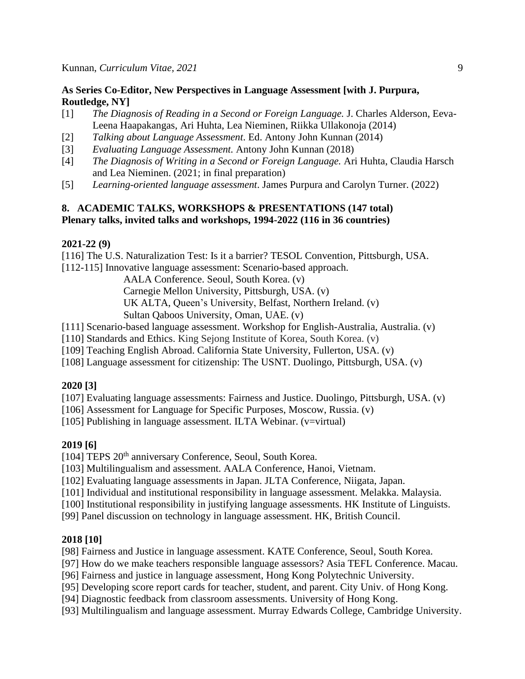### **As Series Co-Editor, New Perspectives in Language Assessment [with J. Purpura, Routledge, NY]**

- [1] *[The Diagnosis of Reading in a Second or Foreign Language.](https://www.routledge.com/The-Diagnosis-of-Reading-in-a-Second-or-Foreign-Language/Alderson-Haapakangas-Huhta-Nieminen-Ullakonoja/p/book/9780415662901)* [J. Charles Alderson,](https://www.routledge.com/products/search?author=J.%20Charles%20Alderson) [Eeva-](https://www.routledge.com/products/search?author=Eeva-Leena%20Haapakangas)[Leena Haapakangas,](https://www.routledge.com/products/search?author=Eeva-Leena%20Haapakangas) [Ari Huhta,](https://www.routledge.com/products/search?author=Ari%20Huhta) [Lea Nieminen,](https://www.routledge.com/products/search?author=Lea%20Nieminen) [Riikka Ullakonoja](https://www.routledge.com/products/search?author=Riikka%20Ullakonoja) (2014)
- [2] *Talking about Language Assessment*. Ed. Antony John Kunnan (2014)
- [3] *Evaluating Language Assessment.* Antony John Kunnan (2018)
- [4] *The Diagnosis of Writing in a Second or Foreign Language.* Ari Huhta, Claudia Harsch and Lea Nieminen. (2021; in final preparation)
- [5] *Learning-oriented language assessment*. James Purpura and Carolyn Turner. (2022)

# **8. ACADEMIC TALKS, WORKSHOPS & PRESENTATIONS (147 total) Plenary talks, invited talks and workshops, 1994-2022 (116 in 36 countries)**

#### **2021-22 (9)**

[116] The U.S. Naturalization Test: Is it a barrier? TESOL Convention, Pittsburgh, USA.

[112-115] Innovative language assessment: Scenario-based approach.

AALA Conference. Seoul, South Korea. (v)

Carnegie Mellon University, Pittsburgh, USA. (v)

UK ALTA, Queen's University, Belfast, Northern Ireland. (v)

Sultan Qaboos University, Oman, UAE. (v)

[111] Scenario-based language assessment. Workshop for English-Australia, Australia. (v)

[110] Standards and Ethics. King Sejong Institute of Korea, South Korea. (v)

[109] Teaching English Abroad. California State University, Fullerton, USA. (v)

[108] Language assessment for citizenship: The USNT. Duolingo, Pittsburgh, USA. (v)

### **2020 [3]**

[107] Evaluating language assessments: Fairness and Justice. Duolingo, Pittsburgh, USA. (v)

[106] Assessment for Language for Specific Purposes, Moscow, Russia. (v)

[105] Publishing in language assessment. ILTA Webinar. (v=virtual)

### **2019 [6]**

[104] TEPS 20<sup>th</sup> anniversary Conference, Seoul, South Korea.

[103] Multilingualism and assessment. AALA Conference, Hanoi, Vietnam.

[102] Evaluating language assessments in Japan. JLTA Conference, Niigata, Japan.

[101] Individual and institutional responsibility in language assessment. Melakka. Malaysia.

[100] Institutional responsibility in justifying language assessments. HK Institute of Linguists.

[99] Panel discussion on technology in language assessment. HK, British Council.

### **2018 [10]**

[98] Fairness and Justice in language assessment. KATE Conference, Seoul, South Korea.

[97] How do we make teachers responsible language assessors? Asia TEFL Conference. Macau.

[96] Fairness and justice in language assessment, Hong Kong Polytechnic University.

[95] Developing score report cards for teacher, student, and parent. City Univ. of Hong Kong.

[94] Diagnostic feedback from classroom assessments. University of Hong Kong.

[93] Multilingualism and language assessment. Murray Edwards College, Cambridge University.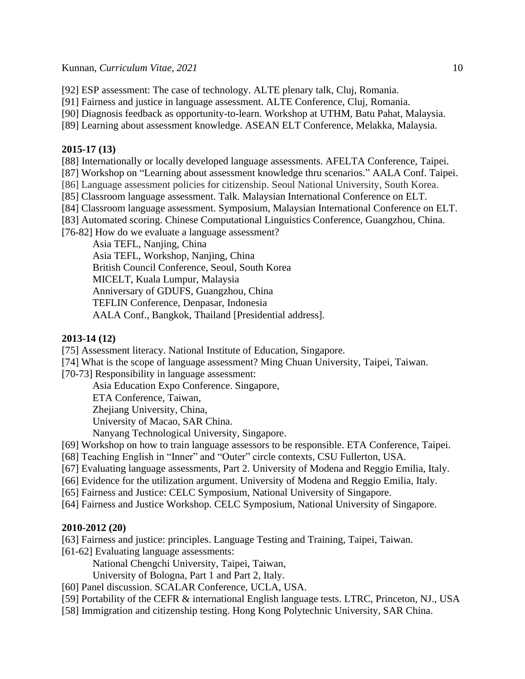[92] ESP assessment: The case of technology. ALTE plenary talk, Cluj, Romania.

[91] Fairness and justice in language assessment. ALTE Conference, Cluj, Romania.

[90] Diagnosis feedback as opportunity-to-learn. Workshop at UTHM, Batu Pahat, Malaysia.

[89] Learning about assessment knowledge. ASEAN ELT Conference, Melakka, Malaysia.

#### **2015-17 (13)**

[88] Internationally or locally developed language assessments. AFELTA Conference, Taipei.

[87] Workshop on "Learning about assessment knowledge thru scenarios." AALA Conf. Taipei.

[86] Language assessment policies for citizenship. Seoul National University, South Korea.

[85] Classroom language assessment. Talk. Malaysian International Conference on ELT.

[84] Classroom language assessment. Symposium, Malaysian International Conference on ELT.

[83] Automated scoring. Chinese Computational Linguistics Conference, Guangzhou, China.

[76-82] How do we evaluate a language assessment?

Asia TEFL, Nanjing, China Asia TEFL, Workshop, Nanjing, China British Council Conference, Seoul, South Korea MICELT, Kuala Lumpur, Malaysia Anniversary of GDUFS, Guangzhou, China TEFLIN Conference, Denpasar, Indonesia AALA Conf., Bangkok, Thailand [Presidential address].

### **2013-14 (12)**

[75] Assessment literacy. National Institute of Education, Singapore.

[74] What is the scope of language assessment? Ming Chuan University, Taipei, Taiwan.

[70-73] Responsibility in language assessment:

Asia Education Expo Conference. Singapore,

ETA Conference, Taiwan,

Zhejiang University, China,

University of Macao, SAR China.

Nanyang Technological University, Singapore.

[69] Workshop on how to train language assessors to be responsible. ETA Conference, Taipei.

- [68] Teaching English in "Inner" and "Outer" circle contexts, CSU Fullerton, USA.
- [67] Evaluating language assessments, Part 2. University of Modena and Reggio Emilia, Italy.
- [66] Evidence for the utilization argument. University of Modena and Reggio Emilia, Italy.
- [65] Fairness and Justice: CELC Symposium, National University of Singapore.
- [64] Fairness and Justice Workshop. CELC Symposium, National University of Singapore.

### **2010-2012 (20)**

[63] Fairness and justice: principles. Language Testing and Training, Taipei, Taiwan. [61-62] Evaluating language assessments:

National Chengchi University, Taipei, Taiwan,

University of Bologna, Part 1 and Part 2, Italy.

[60] Panel discussion. SCALAR Conference, UCLA, USA.

- [59] Portability of the CEFR & international English language tests. LTRC, Princeton, NJ., USA
- [58] Immigration and citizenship testing. Hong Kong Polytechnic University, SAR China.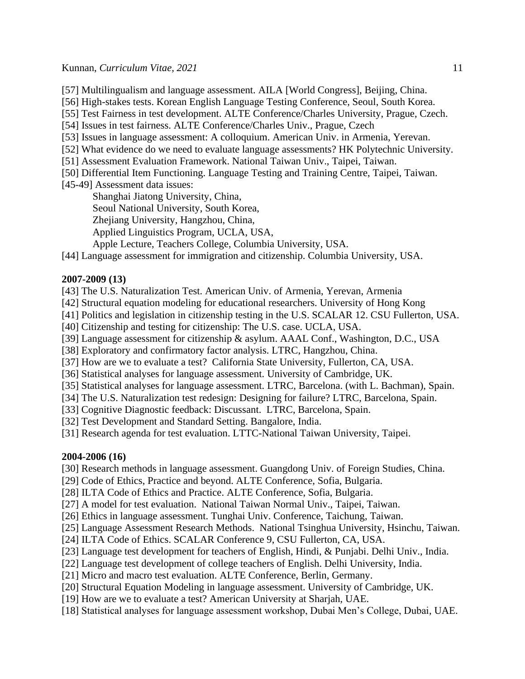[57] Multilingualism and language assessment. AILA [World Congress], Beijing, China.

[56] High-stakes tests. Korean English Language Testing Conference, Seoul, South Korea.

[55] Test Fairness in test development. ALTE Conference/Charles University, Prague, Czech.

[54] Issues in test fairness. ALTE Conference/Charles Univ., Prague, Czech

[53] Issues in language assessment: A colloquium. American Univ. in Armenia, Yerevan.

[52] What evidence do we need to evaluate language assessments? HK Polytechnic University.

[51] Assessment Evaluation Framework. National Taiwan Univ., Taipei, Taiwan.

[50] Differential Item Functioning. Language Testing and Training Centre, Taipei, Taiwan.

[45-49] Assessment data issues:

Shanghai Jiatong University, China,

Seoul National University, South Korea,

Zhejiang University, Hangzhou, China,

Applied Linguistics Program, UCLA, USA,

Apple Lecture, Teachers College, Columbia University, USA.

[44] Language assessment for immigration and citizenship. Columbia University, USA.

### **2007-2009 (13)**

[43] The U.S. Naturalization Test. American Univ. of Armenia, Yerevan, Armenia

- [42] Structural equation modeling for educational researchers. University of Hong Kong
- [41] Politics and legislation in citizenship testing in the U.S. SCALAR 12. CSU Fullerton, USA.
- [40] Citizenship and testing for citizenship: The U.S. case. UCLA, USA.

[39] Language assessment for citizenship & asylum. AAAL Conf., Washington, D.C., USA

[38] Exploratory and confirmatory factor analysis. LTRC, Hangzhou, China.

[37] How are we to evaluate a test? California State University, Fullerton, CA, USA.

[36] Statistical analyses for language assessment. University of Cambridge, UK.

[35] Statistical analyses for language assessment. LTRC, Barcelona. (with L. Bachman), Spain.

[34] The U.S. Naturalization test redesign: Designing for failure? LTRC, Barcelona, Spain.

[33] Cognitive Diagnostic feedback: Discussant. LTRC, Barcelona, Spain.

[32] Test Development and Standard Setting. Bangalore, India.

[31] Research agenda for test evaluation. LTTC-National Taiwan University, Taipei.

### **2004-2006 (16)**

[30] Research methods in language assessment. Guangdong Univ. of Foreign Studies, China.

[29] Code of Ethics, Practice and beyond. ALTE Conference, Sofia, Bulgaria.

[28] ILTA Code of Ethics and Practice. ALTE Conference, Sofia, Bulgaria.

- [27] A model for test evaluation. National Taiwan Normal Univ., Taipei, Taiwan.
- [26] Ethics in language assessment. Tunghai Univ. Conference, Taichung, Taiwan.
- [25] Language Assessment Research Methods. National Tsinghua University, Hsinchu, Taiwan.
- [24] ILTA Code of Ethics. SCALAR Conference 9, CSU Fullerton, CA, USA.
- [23] Language test development for teachers of English, Hindi, & Punjabi. Delhi Univ., India.
- [22] Language test development of college teachers of English. Delhi University, India.
- [21] Micro and macro test evaluation. ALTE Conference, Berlin, Germany.
- [20] Structural Equation Modeling in language assessment. University of Cambridge, UK.
- [19] How are we to evaluate a test? American University at Sharjah, UAE.
- [18] Statistical analyses for language assessment workshop, Dubai Men's College, Dubai, UAE.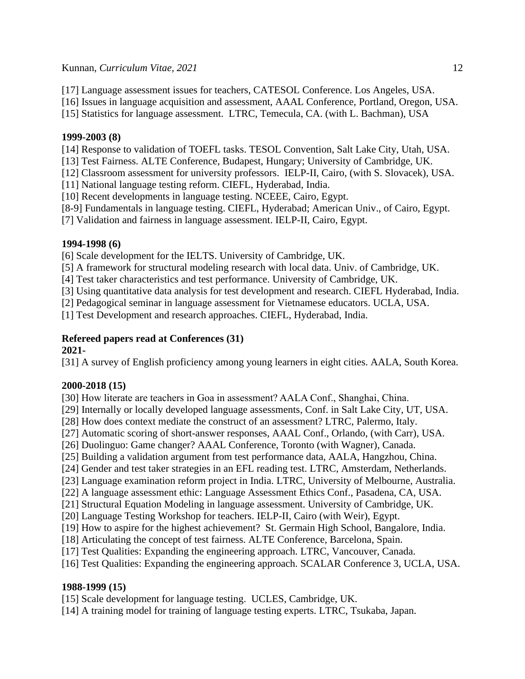[17] Language assessment issues for teachers, CATESOL Conference. Los Angeles, USA.

[16] Issues in language acquisition and assessment, AAAL Conference, Portland, Oregon, USA.

[15] Statistics for language assessment. LTRC, Temecula, CA. (with L. Bachman), USA

### **1999-2003 (8)**

[14] Response to validation of TOEFL tasks. TESOL Convention, Salt Lake City, Utah, USA.

[13] Test Fairness. ALTE Conference, Budapest, Hungary; University of Cambridge, UK.

[12] Classroom assessment for university professors. IELP-II, Cairo, (with S. Slovacek), USA.

[11] National language testing reform. CIEFL, Hyderabad, India.

[10] Recent developments in language testing. NCEEE, Cairo, Egypt.

[8-9] Fundamentals in language testing. CIEFL, Hyderabad; American Univ., of Cairo, Egypt.

[7] Validation and fairness in language assessment. IELP-II, Cairo, Egypt.

# **1994-1998 (6)**

[6] Scale development for the IELTS. University of Cambridge, UK.

[5] A framework for structural modeling research with local data. Univ. of Cambridge, UK.

[4] Test taker characteristics and test performance. University of Cambridge, UK.

[3] Using quantitative data analysis for test development and research. CIEFL Hyderabad, India.

[2] Pedagogical seminar in language assessment for Vietnamese educators. UCLA, USA.

[1] Test Development and research approaches. CIEFL, Hyderabad, India.

# **Refereed papers read at Conferences (31)**

# **2021-**

[31] A survey of English proficiency among young learners in eight cities. AALA, South Korea.

# **2000-2018 (15)**

[30] How literate are teachers in Goa in assessment? AALA Conf., Shanghai, China.

[29] Internally or locally developed language assessments, Conf. in Salt Lake City, UT, USA.

[28] How does context mediate the construct of an assessment? LTRC, Palermo, Italy.

[27] Automatic scoring of short-answer responses, AAAL Conf., Orlando, (with Carr), USA.

[26] Duolinguo: Game changer? AAAL Conference, Toronto (with Wagner), Canada.

[25] Building a validation argument from test performance data, AALA, Hangzhou, China.

[24] Gender and test taker strategies in an EFL reading test. LTRC, Amsterdam, Netherlands.

[23] Language examination reform project in India. LTRC, University of Melbourne, Australia.

[22] A language assessment ethic: Language Assessment Ethics Conf., Pasadena, CA, USA.

[21] Structural Equation Modeling in language assessment. University of Cambridge, UK.

[20] Language Testing Workshop for teachers. IELP-II, Cairo (with Weir), Egypt.

[19] How to aspire for the highest achievement? St. Germain High School, Bangalore, India.

[18] Articulating the concept of test fairness. ALTE Conference, Barcelona, Spain.

[17] Test Qualities: Expanding the engineering approach. LTRC, Vancouver, Canada.

[16] Test Qualities: Expanding the engineering approach. SCALAR Conference 3, UCLA, USA.

# **1988-1999 (15)**

[15] Scale development for language testing. UCLES, Cambridge, UK.

[14] A training model for training of language testing experts. LTRC, Tsukaba, Japan.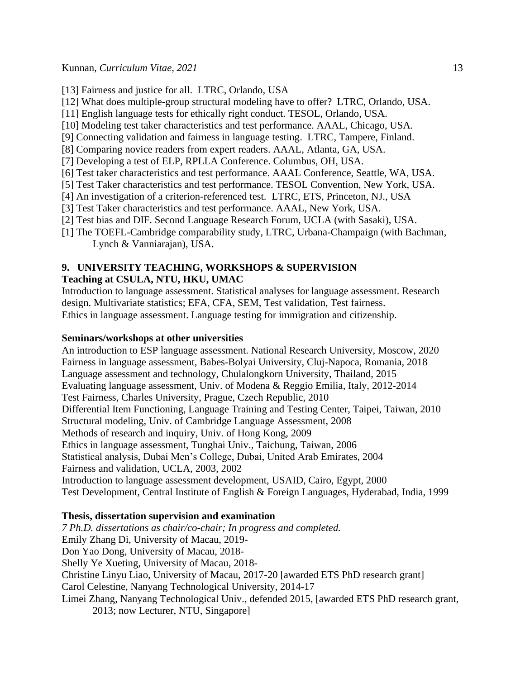- [13] Fairness and justice for all. LTRC, Orlando, USA
- [12] What does multiple-group structural modeling have to offer? LTRC, Orlando, USA.
- [11] English language tests for ethically right conduct. TESOL, Orlando, USA.
- [10] Modeling test taker characteristics and test performance. AAAL, Chicago, USA.
- [9] Connecting validation and fairness in language testing. LTRC, Tampere, Finland.
- [8] Comparing novice readers from expert readers. AAAL, Atlanta, GA, USA.
- [7] Developing a test of ELP, RPLLA Conference. Columbus, OH, USA.
- [6] Test taker characteristics and test performance. AAAL Conference, Seattle, WA, USA.
- [5] Test Taker characteristics and test performance. TESOL Convention, New York, USA.
- [4] An investigation of a criterion-referenced test. LTRC, ETS, Princeton, NJ., USA
- [3] Test Taker characteristics and test performance. AAAL, New York, USA.
- [2] Test bias and DIF. Second Language Research Forum, UCLA (with Sasaki), USA.
- [1] The TOEFL-Cambridge comparability study, LTRC, Urbana-Champaign (with Bachman, Lynch & Vanniarajan), USA.

#### **9. UNIVERSITY TEACHING, WORKSHOPS & SUPERVISION Teaching at CSULA, NTU, HKU, UMAC**

Introduction to language assessment. Statistical analyses for language assessment. Research design. Multivariate statistics; EFA, CFA, SEM, Test validation, Test fairness.

Ethics in language assessment. Language testing for immigration and citizenship.

#### **Seminars/workshops at other universities**

An introduction to ESP language assessment. National Research University, Moscow, 2020 Fairness in language assessment, Babes-Bolyai University, Cluj-Napoca, Romania, 2018 Language assessment and technology, Chulalongkorn University, Thailand, 2015 Evaluating language assessment, Univ. of Modena & Reggio Emilia, Italy, 2012-2014 Test Fairness, Charles University, Prague, Czech Republic, 2010 Differential Item Functioning, Language Training and Testing Center, Taipei, Taiwan, 2010 Structural modeling, Univ. of Cambridge Language Assessment, 2008 Methods of research and inquiry, Univ. of Hong Kong, 2009 Ethics in language assessment, Tunghai Univ., Taichung, Taiwan, 2006 Statistical analysis, Dubai Men's College, Dubai, United Arab Emirates, 2004 Fairness and validation, UCLA, 2003, 2002 Introduction to language assessment development, USAID, Cairo, Egypt, 2000 Test Development, Central Institute of English & Foreign Languages, Hyderabad, India, 1999

### **Thesis, dissertation supervision and examination**

*7 Ph.D. dissertations as chair/co-chair; In progress and completed.* Emily Zhang Di, University of Macau, 2019- Don Yao Dong, University of Macau, 2018- Shelly Ye Xueting, University of Macau, 2018- Christine Linyu Liao, University of Macau, 2017-20 [awarded ETS PhD research grant] Carol Celestine, Nanyang Technological University, 2014-17 Limei Zhang, Nanyang Technological Univ., defended 2015, [awarded ETS PhD research grant, 2013; now Lecturer, NTU, Singapore]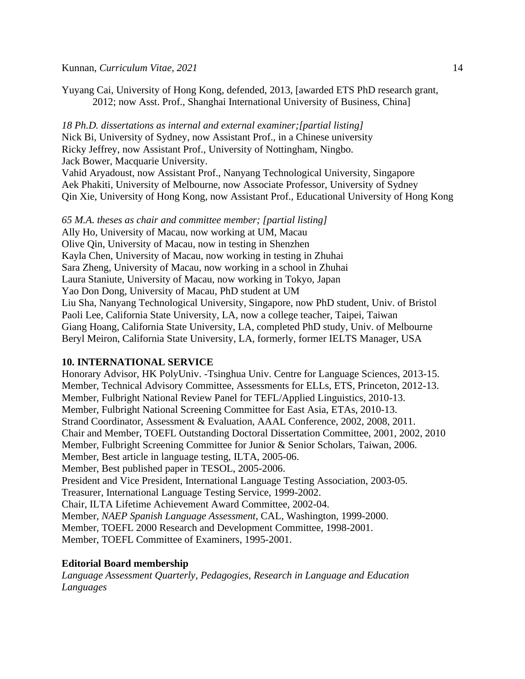#### Kunnan, *Curriculum Vitae, 2021* 14

Yuyang Cai, University of Hong Kong, defended, 2013, [awarded ETS PhD research grant, 2012; now Asst. Prof., Shanghai International University of Business, China]

*18 Ph.D. dissertations as internal and external examiner;[partial listing]* Nick Bi, University of Sydney, now Assistant Prof., in a Chinese university Ricky Jeffrey, now Assistant Prof., University of Nottingham, Ningbo. Jack Bower, Macquarie University.

Vahid Aryadoust, now Assistant Prof., Nanyang Technological University, Singapore Aek Phakiti, University of Melbourne, now Associate Professor, University of Sydney Qin Xie, University of Hong Kong, now Assistant Prof., Educational University of Hong Kong

*65 M.A. theses as chair and committee member; [partial listing]* Ally Ho, University of Macau, now working at UM, Macau Olive Qin, University of Macau, now in testing in Shenzhen Kayla Chen, University of Macau, now working in testing in Zhuhai Sara Zheng, University of Macau, now working in a school in Zhuhai Laura Staniute, University of Macau, now working in Tokyo, Japan Yao Don Dong, University of Macau, PhD student at UM Liu Sha, Nanyang Technological University, Singapore, now PhD student, Univ. of Bristol Paoli Lee, California State University, LA, now a college teacher, Taipei, Taiwan Giang Hoang, California State University, LA, completed PhD study, Univ. of Melbourne Beryl Meiron, California State University, LA, formerly, former IELTS Manager, USA

### **10. INTERNATIONAL SERVICE**

Honorary Advisor, HK PolyUniv. -Tsinghua Univ. Centre for Language Sciences, 2013-15. Member, Technical Advisory Committee, Assessments for ELLs, ETS, Princeton, 2012-13. Member, Fulbright National Review Panel for TEFL/Applied Linguistics, 2010-13. Member, Fulbright National Screening Committee for East Asia, ETAs, 2010-13. Strand Coordinator, Assessment & Evaluation, AAAL Conference, 2002, 2008, 2011. Chair and Member, TOEFL Outstanding Doctoral Dissertation Committee, 2001, 2002, 2010 Member, Fulbright Screening Committee for Junior & Senior Scholars, Taiwan, 2006. Member, Best article in language testing, ILTA, 2005-06. Member, Best published paper in TESOL, 2005-2006. President and Vice President, International Language Testing Association, 2003-05. Treasurer, International Language Testing Service, 1999-2002. Chair, ILTA Lifetime Achievement Award Committee, 2002-04. Member, *NAEP Spanish Language Assessment*, CAL, Washington, 1999-2000. Member, TOEFL 2000 Research and Development Committee, 1998-2001. Member, TOEFL Committee of Examiners, 1995-2001.

### **Editorial Board membership**

*Language Assessment Quarterly, Pedagogies, Research in Language and Education Languages*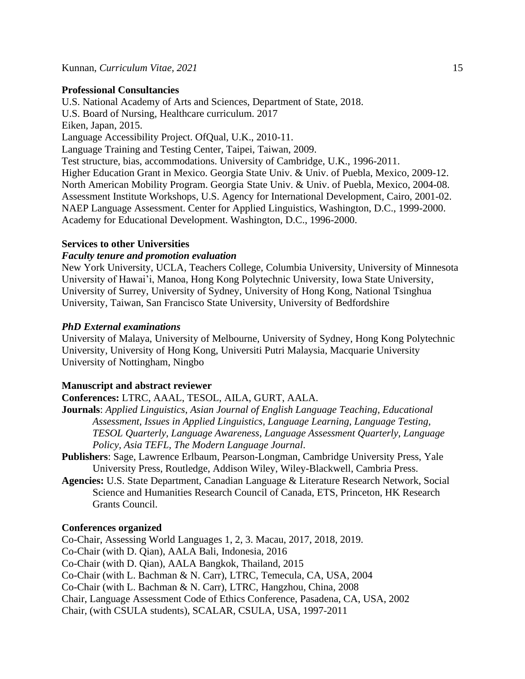#### **Professional Consultancies**

U.S. National Academy of Arts and Sciences, Department of State, 2018. U.S. Board of Nursing, Healthcare curriculum. 2017 Eiken, Japan, 2015. Language Accessibility Project. OfQual, U.K., 2010-11. Language Training and Testing Center, Taipei, Taiwan, 2009. Test structure, bias, accommodations. University of Cambridge, U.K., 1996-2011. Higher Education Grant in Mexico. Georgia State Univ. & Univ. of Puebla, Mexico, 2009-12. North American Mobility Program. Georgia State Univ. & Univ. of Puebla, Mexico, 2004-08. Assessment Institute Workshops, U.S. Agency for International Development, Cairo, 2001-02. NAEP Language Assessment. Center for Applied Linguistics, Washington, D.C., 1999-2000. Academy for Educational Development. Washington, D.C., 1996-2000.

#### **Services to other Universities**

#### *Faculty tenure and promotion evaluation*

New York University, UCLA, Teachers College, Columbia University, University of Minnesota University of Hawai'i, Manoa, Hong Kong Polytechnic University, Iowa State University, University of Surrey, University of Sydney, University of Hong Kong, National Tsinghua University, Taiwan, San Francisco State University, University of Bedfordshire

#### *PhD External examinations*

University of Malaya, University of Melbourne, University of Sydney, Hong Kong Polytechnic University, University of Hong Kong, Universiti Putri Malaysia, Macquarie University University of Nottingham, Ningbo

#### **Manuscript and abstract reviewer**

# **Conferences:** LTRC, AAAL, TESOL, AILA, GURT, AALA.

- **Journals**: *Applied Linguistics*, *Asian Journal of English Language Teaching, Educational Assessment, Issues in Applied Linguistics, Language Learning, Language Testing, TESOL Quarterly, Language Awareness, Language Assessment Quarterly, Language Policy, Asia TEFL, The Modern Language Journal*.
- **Publishers**: Sage, Lawrence Erlbaum, Pearson-Longman, Cambridge University Press, Yale University Press, Routledge, Addison Wiley, Wiley-Blackwell, Cambria Press.
- **Agencies:** U.S. State Department, Canadian Language & Literature Research Network, Social Science and Humanities Research Council of Canada, ETS, Princeton, HK Research Grants Council.

#### **Conferences organized**

Co-Chair, Assessing World Languages 1, 2, 3. Macau, 2017, 2018, 2019. Co-Chair (with D. Qian), AALA Bali, Indonesia, 2016 Co-Chair (with D. Qian), AALA Bangkok, Thailand, 2015 Co-Chair (with L. Bachman & N. Carr), LTRC, Temecula, CA, USA, 2004 Co-Chair (with L. Bachman & N. Carr), LTRC, Hangzhou, China, 2008 Chair, Language Assessment Code of Ethics Conference, Pasadena, CA, USA, 2002 Chair, (with CSULA students), SCALAR, CSULA, USA, 1997-2011